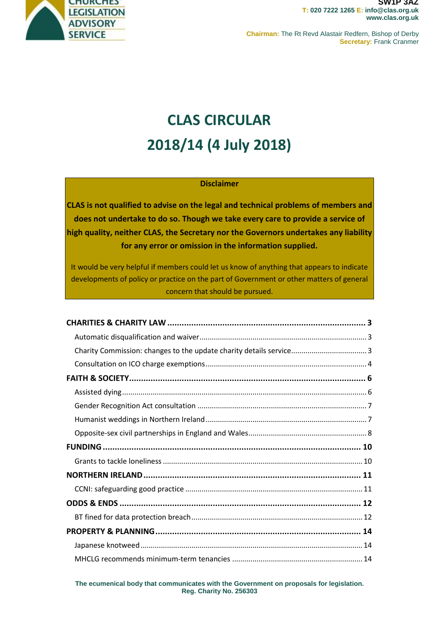

**SW1P 3AZ T: 020 7222 1265 E: info@clas.org.uk www.clas.org.uk**

**Chairman:** The Rt Revd Alastair Redfern, Bishop of Derby **Secretary:** Frank Cranmer

# **CLAS CIRCULAR 2018/14 (4 July 2018)**

#### **Disclaimer**

**CLAS is not qualified to advise on the legal and technical problems of members and does not undertake to do so. Though we take every care to provide a service of high quality, neither CLAS, the Secretary nor the Governors undertakes any liability for any error or omission in the information supplied.**

It would be very helpful if members could let us know of anything that appears to indicate developments of policy or practice on the part of Government or other matters of general concern that should be pursued.

| Charity Commission: changes to the update charity details service 3 |  |
|---------------------------------------------------------------------|--|
|                                                                     |  |
|                                                                     |  |
|                                                                     |  |
|                                                                     |  |
|                                                                     |  |
|                                                                     |  |
|                                                                     |  |
|                                                                     |  |
|                                                                     |  |
|                                                                     |  |
|                                                                     |  |
|                                                                     |  |
|                                                                     |  |
|                                                                     |  |
|                                                                     |  |

**The ecumenical body that communicates with the Government on proposals for legislation. Reg. Charity No. 256303**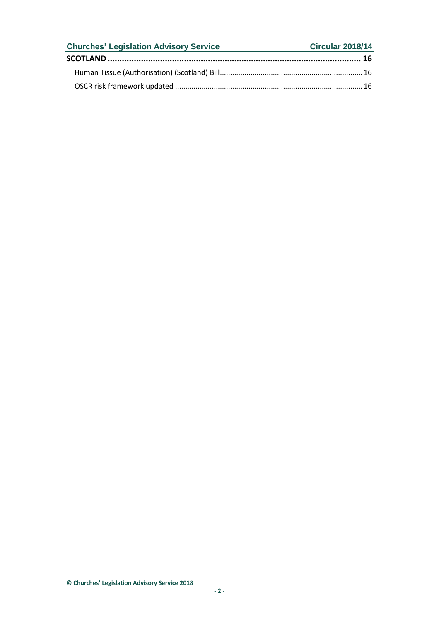| <b>Churches' Legislation Advisory Service</b> | <b>Circular 2018/14</b> |
|-----------------------------------------------|-------------------------|
|                                               |                         |
|                                               |                         |
|                                               |                         |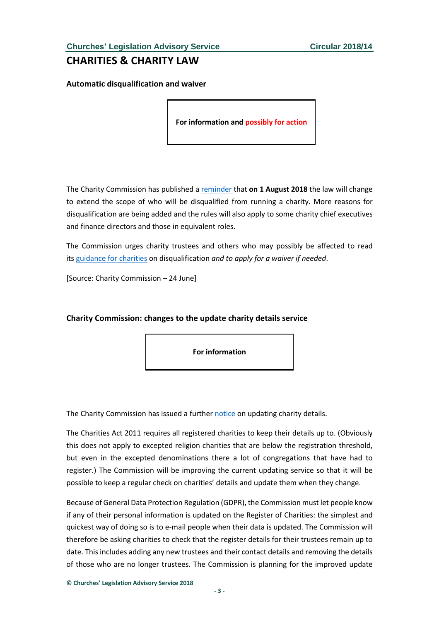## **CHARITIES & CHARITY LAW**

**Automatic disqualification and waiver**

**For information and possibly for action**

The Charity Commission has published a [reminder](https://www.gov.uk/government/news/charity-automatic-disqualification-rules-you-can-now-apply-for-a-waiver) that **on 1 August 2018** the law will change to extend the scope of who will be disqualified from running a charity. More reasons for disqualification are being added and the rules will also apply to some charity chief executives and finance directors and those in equivalent roles.

The Commission urges charity trustees and others who may possibly be affected to read its [guidance](https://www.gov.uk/guidance/automatic-disqualification-rule-changes-guidance-for-charities) for charities on disqualification *and to apply for a waiver if needed*.

[Source: Charity Commission – 24 June]

#### **Charity Commission: changes to the update charity details service**

**For information**

The Charity Commission has issued a further [notice](https://www.gov.uk/government/news/update-your-charity-details-improved-service-coming-soon) on updating charity details.

The Charities Act 2011 requires all registered charities to keep their details up to. (Obviously this does not apply to excepted religion charities that are below the registration threshold, but even in the excepted denominations there a lot of congregations that have had to register.) The Commission will be improving the current updating service so that it will be possible to keep a regular check on charities' details and update them when they change.

Because of General Data Protection Regulation (GDPR), the Commission must let people know if any of their personal information is updated on the Register of Charities: the simplest and quickest way of doing so is to e-mail people when their data is updated. The Commission will therefore be asking charities to check that the register details for their trustees remain up to date. This includes adding any new trustees and their contact details and removing the details of those who are no longer trustees. The Commission is planning for the improved update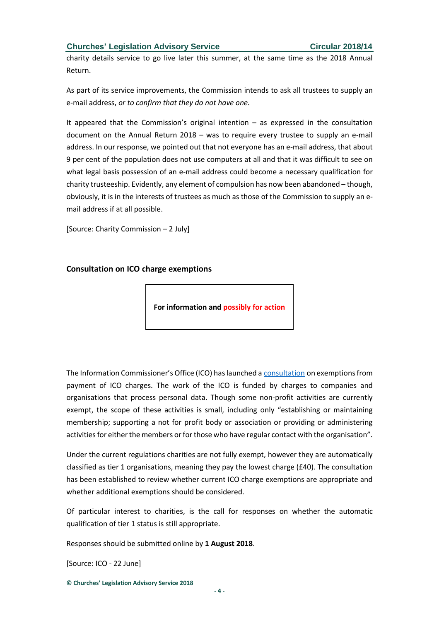charity details service to go live later this summer, at the same time as the 2018 Annual Return.

As part of its service improvements, the Commission intends to ask all trustees to supply an e-mail address, *or to confirm that they do not have one*.

It appeared that the Commission's original intention  $-$  as expressed in the consultation document on the Annual Return 2018 – was to require every trustee to supply an e-mail address. In our response, we pointed out that not everyone has an e-mail address, that about 9 per cent of the population does not use computers at all and that it was difficult to see on what legal basis possession of an e-mail address could become a necessary qualification for charity trusteeship. Evidently, any element of compulsion has now been abandoned – though, obviously, it is in the interests of trustees as much as those of the Commission to supply an email address if at all possible.

[Source: Charity Commission – 2 July]

#### **Consultation on ICO charge exemptions**

**For information and possibly for action**

The Information Commissioner's Office (ICO) has launched a [consultation](http://www.gov.uk/government/consultations/review-of-exemptions-from-paying-charges-to-the-ico) on exemptions from payment of ICO charges. The work of the ICO is funded by charges to companies and organisations that process personal data. Though some non-profit activities are currently exempt, the scope of these activities is small, including only "establishing or maintaining membership; supporting a not for profit body or association or providing or administering activities for either the members or for those who have regular contact with the organisation".

Under the current regulations charities are not fully exempt, however they are automatically classified as tier 1 organisations, meaning they pay the lowest charge (£40). The consultation has been established to review whether current ICO charge exemptions are appropriate and whether additional exemptions should be considered.

Of particular interest to charities, is the call for responses on whether the automatic qualification of tier 1 status is still appropriate.

Responses should be submitted online by **1 August 2018**.

[Source: ICO - 22 June]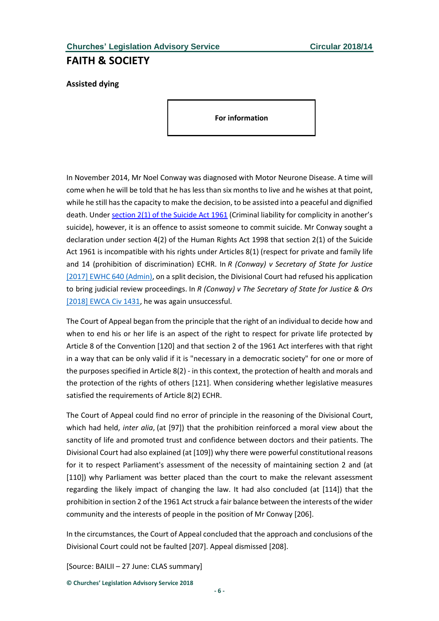### **FAITH & SOCIETY**

**Assisted dying**

**For information**

In November 2014, Mr Noel Conway was diagnosed with Motor Neurone Disease. A time will come when he will be told that he has less than six months to live and he wishes at that point, while he still has the capacity to make the decision, to be assisted into a peaceful and dignified death. Under [section](http://www.legislation.gov.uk/ukpga/Eliz2/9-10/60) 2(1) of the Suicide Act 1961 (Criminal liability for complicity in another's suicide), however, it is an offence to assist someone to commit suicide. Mr Conway sought a declaration under section 4(2) of the Human Rights Act 1998 that section 2(1) of the Suicide Act 1961 is incompatible with his rights under Articles 8(1) (respect for private and family life and 14 (prohibition of discrimination) ECHR. In *R (Conway) v Secretary of State for Justice* [2017] EWHC 640 [\(Admin\),](http://www.bailii.org/ew/cases/EWHC/Admin/2017/640.html) on a split decision, the Divisional Court had refused his application to bring judicial review proceedings. In *R (Conway) v The Secretary of State for Justice & Ors* [\[2018\]](http://www.bailii.org/ew/cases/EWCA/Civ/2018/1431.html) EWCA Civ 1431, he was again unsuccessful.

The Court of Appeal began from the principle that the right of an individual to decide how and when to end his or her life is an aspect of the right to respect for private life protected by Article 8 of the Convention [120] and that section 2 of the 1961 Act interferes with that right in a way that can be only valid if it is "necessary in a democratic society" for one or more of the purposes specified in Article 8(2) - in this context, the protection of health and morals and the protection of the rights of others [121]. When considering whether legislative measures satisfied the requirements of Article 8(2) ECHR.

The Court of Appeal could find no error of principle in the reasoning of the Divisional Court, which had held, *inter alia*, (at [97]) that the prohibition reinforced a moral view about the sanctity of life and promoted trust and confidence between doctors and their patients. The Divisional Court had also explained (at [109]) why there were powerful constitutional reasons for it to respect Parliament's assessment of the necessity of maintaining section 2 and (at [110]) why Parliament was better placed than the court to make the relevant assessment regarding the likely impact of changing the law. It had also concluded (at [114]) that the prohibition in section 2 of the 1961 Act struck a fair balance between the interests of the wider community and the interests of people in the position of Mr Conway [206].

In the circumstances, the Court of Appeal concluded that the approach and conclusions of the Divisional Court could not be faulted [207]. Appeal dismissed [208].

[Source: BAILII – 27 June: CLAS summary]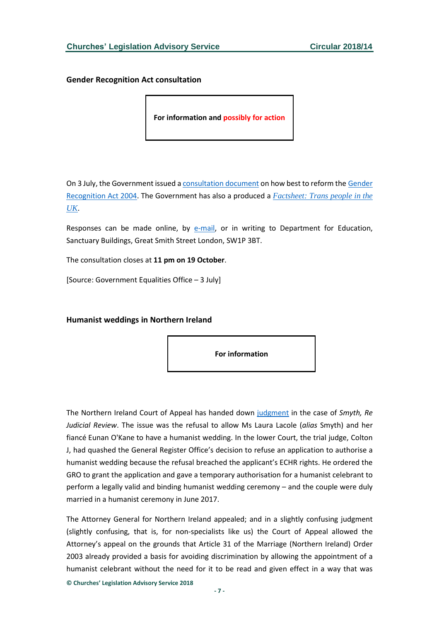#### **Gender Recognition Act consultation**

**For information and possibly for action**

On 3 July, the Government issued a [consultation](https://assets.publishing.service.gov.uk/government/uploads/system/uploads/attachment_data/file/721725/GRA-Consultation-document.pdf) document on how best to reform the [Gender](https://www.legislation.gov.uk/ukpga/2004/7/contents) [Recognition](https://www.legislation.gov.uk/ukpga/2004/7/contents) Act 2004. The Government has also a produced a *[Factsheet:](https://www.gov.uk/government/uploads/system/uploads/attachment_data/file/721642/GEO-LGBT-factsheet.pdf) Trans people in the [UK](https://www.gov.uk/government/uploads/system/uploads/attachment_data/file/721642/GEO-LGBT-factsheet.pdf)*.

Responses can be made online, by [e-mail,](mailto:gra.consulation@geo.gov.uk) or in writing to Department for Education, Sanctuary Buildings, Great Smith Street London, SW1P 3BT.

The consultation closes at **11 pm on 19 October**.

[Source: Government Equalities Office – 3 July]

#### **Humanist weddings in Northern Ireland**

**For information**

The Northern Ireland Court of Appeal has handed down [judgment](https://www.judiciary-ni.gov.uk/judicial-decisions/summary-judgment-matter-application-by-laura-smyth-judicial-review) in the case of *Smyth, Re Judicial Review*. The issue was the refusal to allow Ms Laura Lacole (*alias* Smyth) and her fiancé Eunan O'Kane to have a humanist wedding. In the lower Court, the trial judge, Colton J, had quashed the General Register Office's decision to refuse an application to authorise a humanist wedding because the refusal breached the applicant's ECHR rights. He ordered the GRO to grant the application and gave a temporary authorisation for a humanist celebrant to perform a legally valid and binding humanist wedding ceremony – and the couple were duly married in a humanist ceremony in June 2017.

The Attorney General for Northern Ireland appealed; and in a slightly confusing judgment (slightly confusing, that is, for non-specialists like us) the Court of Appeal allowed the Attorney's appeal on the grounds that Article 31 of the Marriage (Northern Ireland) Order 2003 already provided a basis for avoiding discrimination by allowing the appointment of a humanist celebrant without the need for it to be read and given effect in a way that was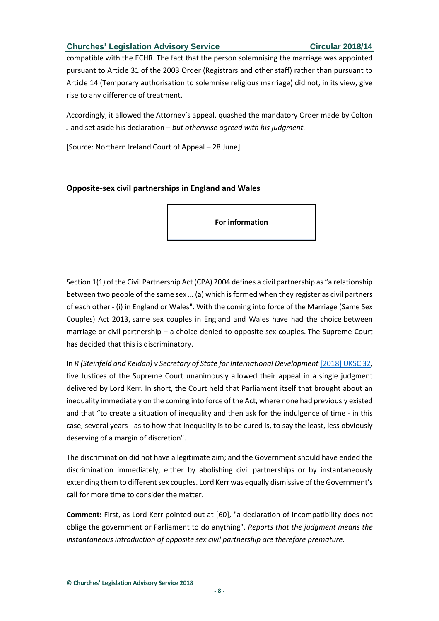compatible with the ECHR. The fact that the person solemnising the marriage was appointed pursuant to Article 31 of the 2003 Order (Registrars and other staff) rather than pursuant to Article 14 (Temporary authorisation to solemnise religious marriage) did not, in its view, give rise to any difference of treatment.

Accordingly, it allowed the Attorney's appeal, quashed the mandatory Order made by Colton J and set aside his declaration – *but otherwise agreed with his judgment.*

[Source: Northern Ireland Court of Appeal – 28 June]

#### **Opposite-sex civil partnerships in England and Wales**

**For information**

Section 1(1) of the Civil Partnership Act (CPA) 2004 defines a civil partnership as "a relationship between two people of the same sex ... (a) which is formed when they register as civil partners of each other - (i) in England or Wales". With the coming into force of the Marriage (Same Sex Couples) Act 2013, same sex couples in England and Wales have had the choice between marriage or civil partnership – a choice denied to opposite sex couples. The Supreme Court has decided that this is discriminatory.

In *R (Steinfeld and Keidan) v Secretary of State for International Development* [\[2018\]](http://www.bailii.org/uk/cases/UKSC/2018/32.html) UKSC 32, five Justices of the Supreme Court unanimously allowed their appeal in a single judgment delivered by Lord Kerr. In short, the Court held that Parliament itself that brought about an inequality immediately on the coming into force of the Act, where none had previously existed and that "to create a situation of inequality and then ask for the indulgence of time - in this case, several years - as to how that inequality is to be cured is, to say the least, less obviously deserving of a margin of discretion".

The discrimination did not have a legitimate aim; and the Government should have ended the discrimination immediately, either by abolishing civil partnerships or by instantaneously extending them to different sex couples. Lord Kerr was equally dismissive of the Government's call for more time to consider the matter.

**Comment:** First, as Lord Kerr pointed out at [60], "a declaration of incompatibility does not oblige the government or Parliament to do anything". *Reports that the judgment means the instantaneous introduction of opposite sex civil partnership are therefore premature*.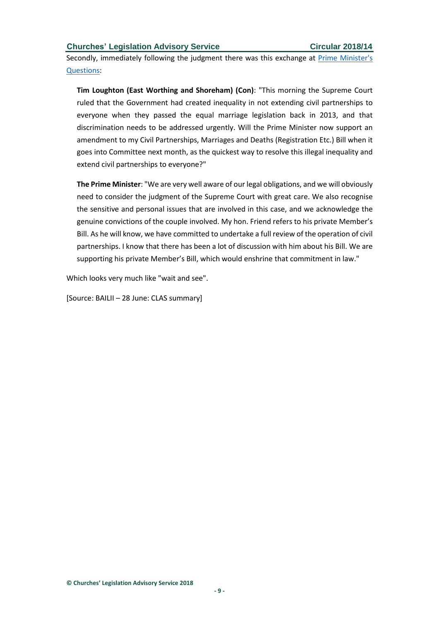Secondly, immediately following the judgment there was this exchange at Prime [Minister's](https://hansard.parliament.uk/commons/2018-06-27/debates/159B11F7-2F5A-4004-AD72-5AA5DBC0F732/Engagements#contribution-1D6807AA-57B1-4D29-8C8A-27AFEEC533C6) [Questions:](https://hansard.parliament.uk/commons/2018-06-27/debates/159B11F7-2F5A-4004-AD72-5AA5DBC0F732/Engagements#contribution-1D6807AA-57B1-4D29-8C8A-27AFEEC533C6)

**Tim Loughton (East Worthing and Shoreham) (Con)**: "This morning the Supreme Court ruled that the Government had created inequality in not extending civil partnerships to everyone when they passed the equal marriage legislation back in 2013, and that discrimination needs to be addressed urgently. Will the Prime Minister now support an amendment to my Civil Partnerships, Marriages and Deaths (Registration Etc.) Bill when it goes into Committee next month, as the quickest way to resolve this illegal inequality and extend civil partnerships to everyone?"

**The Prime Minister**: "We are very well aware of our legal obligations, and we will obviously need to consider the judgment of the Supreme Court with great care. We also recognise the sensitive and personal issues that are involved in this case, and we acknowledge the genuine convictions of the couple involved. My hon. Friend refers to his private Member's Bill. As he will know, we have committed to undertake a full review of the operation of civil partnerships. I know that there has been a lot of discussion with him about his Bill. We are supporting his private Member's Bill, which would enshrine that commitment in law."

Which looks very much like "wait and see".

[Source: BAILII – 28 June: CLAS summary]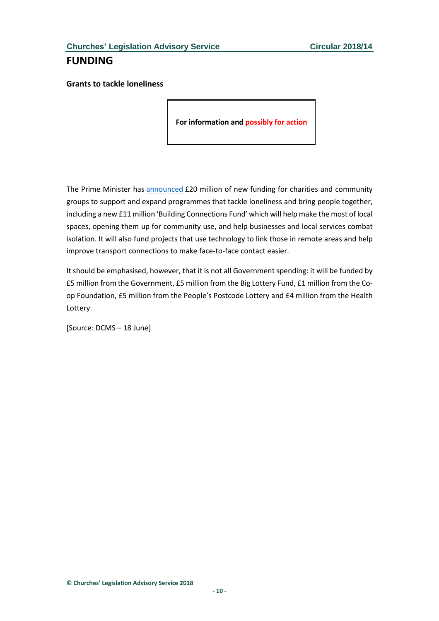## **FUNDING**

**Grants to tackle loneliness**

**For information and possibly for action**

The Prime Minister has [announced](https://www.gov.uk/government/news/20-million-investment-to-help-tackle-loneliness) £20 million of new funding for charities and community groups to support and expand programmes that tackle loneliness and bring people together, including a new £11 million 'Building Connections Fund' which will help make the most of local spaces, opening them up for community use, and help businesses and local services combat isolation. It will also fund projects that use technology to link those in remote areas and help improve transport connections to make face-to-face contact easier.

It should be emphasised, however, that it is not all Government spending: it will be funded by £5 million from the Government, £5 million from the Big Lottery Fund, £1 million from the Coop Foundation, £5 million from the People's Postcode Lottery and £4 million from the Health Lottery.

[Source: DCMS – 18 June]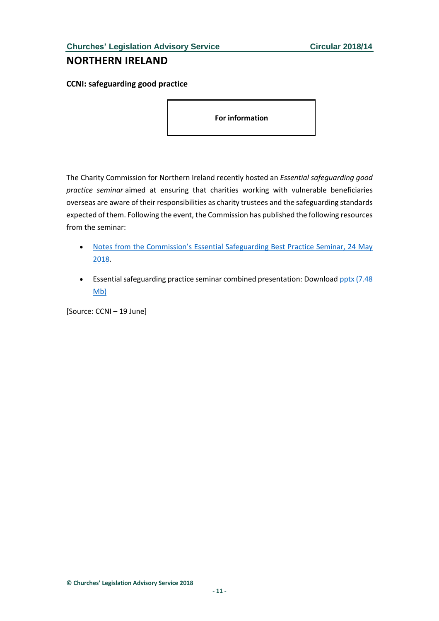## **NORTHERN IRELAND**

**CCNI: safeguarding good practice**

**For information**

The Charity Commission for Northern Ireland recently hosted an *Essential safeguarding good practice seminar* aimed at ensuring that charities working with vulnerable beneficiaries overseas are aware of their responsibilities as charity trustees and the safeguarding standards expected of them. Following the event, the Commission has published the following resources from the seminar:

- Notes from the [Commission's](https://www.charitycommissionni.org.uk/media/151331/20180531-safeguarding-seminar-notes.pdf) Essential Safeguarding Best Practice Seminar, 24 May [2018.](https://www.charitycommissionni.org.uk/media/151331/20180531-safeguarding-seminar-notes.pdf)
- Essential safeguarding practice seminar combined presentation: Download pptx [\(7.48](https://www.charitycommissionni.org.uk/media/151322/20180618-essential-safeguarding-practice-seminar-combined-presentation.pptx)) [Mb\)](https://www.charitycommissionni.org.uk/media/151322/20180618-essential-safeguarding-practice-seminar-combined-presentation.pptx)

[Source: CCNI – 19 June]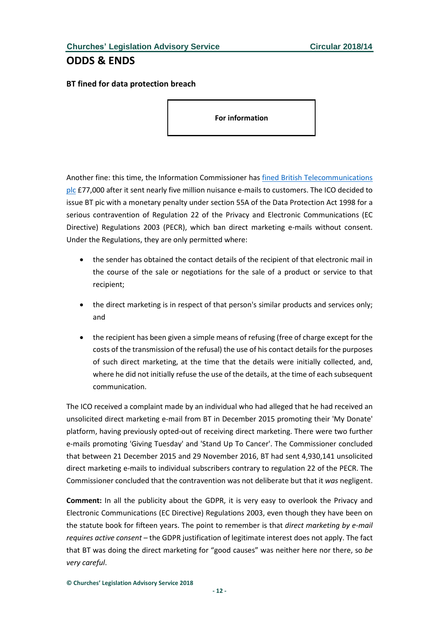#### **BT fined for data protection breach**

**For information**

Another fine: this time, the Information Commissioner has fined British [Telecommunications](https://ico.org.uk/about-the-ico/news-and-events/news-and-blogs/2018/06/bt-fined-77-000-by-the-ico-for-five-million-spam-emails/) [plc](https://ico.org.uk/about-the-ico/news-and-events/news-and-blogs/2018/06/bt-fined-77-000-by-the-ico-for-five-million-spam-emails/) £77,000 after it sent nearly five million nuisance e-mails to customers. The ICO decided to issue BT pic with a monetary penalty under section 55A of the Data Protection Act 1998 for a serious contravention of Regulation 22 of the Privacy and Electronic Communications (EC Directive) Regulations 2003 (PECR), which ban direct marketing e-mails without consent. Under the Regulations, they are only permitted where:

- the sender has obtained the contact details of the recipient of that electronic mail in the course of the sale or negotiations for the sale of a product or service to that recipient;
- the direct marketing is in respect of that person's similar products and services only; and
- the recipient has been given a simple means of refusing (free of charge except for the costs of the transmission of the refusal) the use of his contact details for the purposes of such direct marketing, at the time that the details were initially collected, and, where he did not initially refuse the use of the details, at the time of each subsequent communication.

The ICO received a complaint made by an individual who had alleged that he had received an unsolicited direct marketing e-mail from BT in December 2015 promoting their 'My Donate' platform, having previously opted-out of receiving direct marketing. There were two further e-mails promoting 'Giving Tuesday' and 'Stand Up To Cancer'. The Commissioner concluded that between 21 December 2015 and 29 November 2016, BT had sent 4,930,141 unsolicited direct marketing e-mails to individual subscribers contrary to regulation 22 of the PECR. The Commissioner concluded that the contravention was not deliberate but that it *was* negligent.

**Comment:** In all the publicity about the GDPR, it is very easy to overlook the Privacy and Electronic Communications (EC Directive) Regulations 2003, even though they have been on the statute book for fifteen years. The point to remember is that *direct marketing by e-mail requires active consent* – the GDPR justification of legitimate interest does not apply. The fact that BT was doing the direct marketing for "good causes" was neither here nor there, so *be very careful*.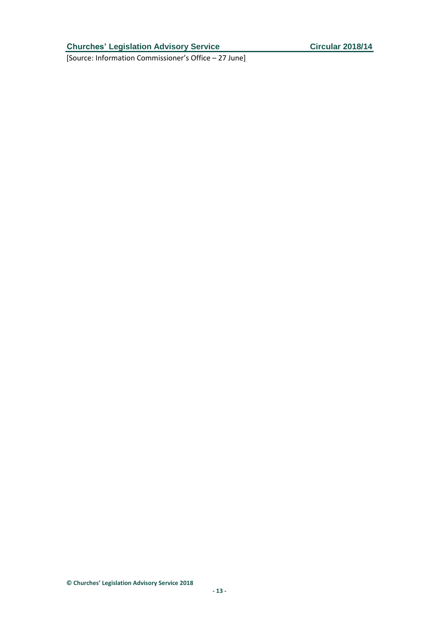[Source: Information Commissioner's Office – 27 June]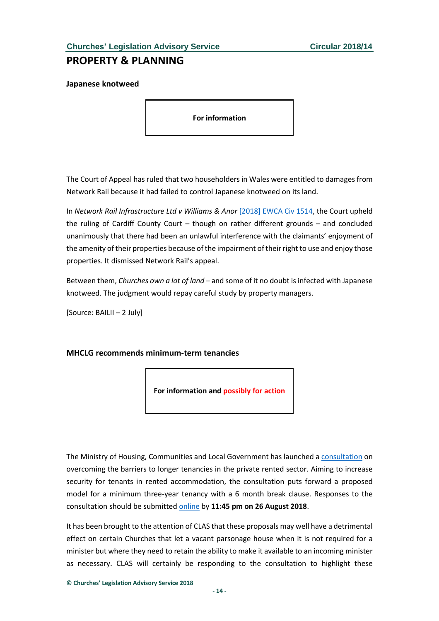## **PROPERTY & PLANNING**

**Japanese knotweed**

**For information**

The Court of Appeal has ruled that two householders in Wales were entitled to damages from Network Rail because it had failed to control Japanese knotweed on its land.

In *Network Rail Infrastructure Ltd v Williams & Anor* [\[2018\]](https://www.judiciary.uk/wp-content/uploads/2018/07/network-rail-v-williams-judgment.pdf) EWCA Civ 1514, the Court upheld the ruling of Cardiff County Court – though on rather different grounds – and concluded unanimously that there had been an unlawful interference with the claimants' enjoyment of the amenity of their properties because of the impairment of their right to use and enjoy those properties. It dismissed Network Rail's appeal.

Between them, *Churches own a lot of land* – and some of it no doubt is infected with Japanese knotweed. The judgment would repay careful study by property managers.

[Source: BAILII – 2 July]

#### **MHCLG recommends minimum-term tenancies**

**For information and possibly for action**

The Ministry of Housing, Communities and Local Government has launched a [consultation](https://www.gov.uk/government/consultations/overcoming-the-barriers-to-longer-tenancies-in-the-private-rented-sector) on overcoming the barriers to longer tenancies in the private rented sector. Aiming to increase security for tenants in rented accommodation, the consultation puts forward a proposed model for a minimum three-year tenancy with a 6 month break clause. Responses to the consultation should be submitted [online](https://www.surveymonkey.co.uk/r/9ZG8ZRZ) by **11:45 pm on 26 August 2018**.

It has been brought to the attention of CLAS that these proposals may well have a detrimental effect on certain Churches that let a vacant parsonage house when it is not required for a minister but where they need to retain the ability to make it available to an incoming minister as necessary. CLAS will certainly be responding to the consultation to highlight these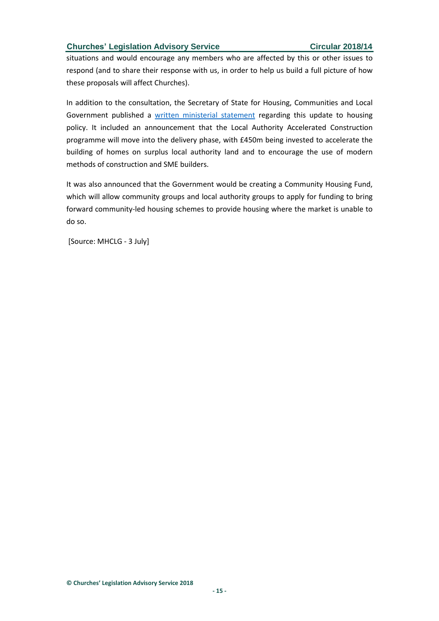situations and would encourage any members who are affected by this or other issues to respond (and to share their response with us, in order to help us build a full picture of how these proposals will affect Churches).

In addition to the consultation, the Secretary of State for Housing, Communities and Local Government published a written [ministerial](https://www.parliament.uk/business/publications/written-questions-answers-statements/written-statement/Commons/2018-07-02/HCWS818/) statement regarding this update to housing policy. It included an announcement that the Local Authority Accelerated Construction programme will move into the delivery phase, with £450m being invested to accelerate the building of homes on surplus local authority land and to encourage the use of modern methods of construction and SME builders.

It was also announced that the Government would be creating a Community Housing Fund, which will allow community groups and local authority groups to apply for funding to bring forward community-led housing schemes to provide housing where the market is unable to do so.

[Source: MHCLG - 3 July]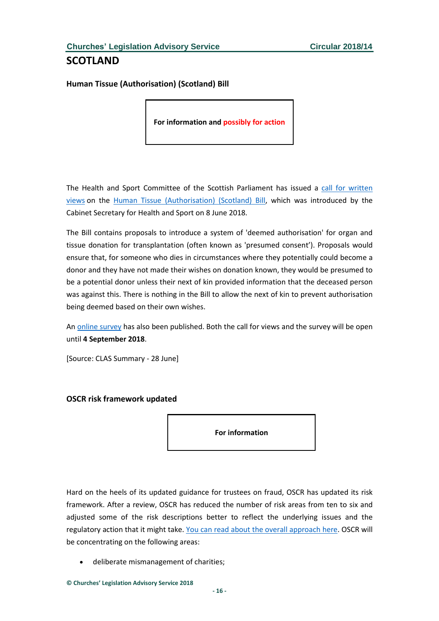## **SCOTLAND**

**Human Tissue (Authorisation) (Scotland) Bill**

**For information and possibly for action**

The Health and Sport Committee of the Scottish Parliament has issued a call for [written](http://www.parliament.scot/parliamentarybusiness/CurrentCommittees/108999.aspx) [views](http://www.parliament.scot/parliamentarybusiness/CurrentCommittees/108999.aspx) on the Human Tissue [\(Authorisation\)](http://www.parliament.scot/parliamentarybusiness/Bills/108681.aspx) (Scotland) Bill, which was introduced by the Cabinet Secretary for Health and Sport on 8 June 2018.

The Bill contains proposals to introduce a system of 'deemed authorisation' for organ and tissue donation for transplantation (often known as 'presumed consent'). Proposals would ensure that, for someone who dies in circumstances where they potentially could become a donor and they have not made their wishes on donation known, they would be presumed to be a potential donor unless their next of kin provided information that the deceased person was against this. There is nothing in the Bill to allow the next of kin to prevent authorisation being deemed based on their own wishes.

An online [survey](http://www.parliament.scot/parliamentarybusiness/CurrentCommittees/109020.aspx) has also been published. Both the call for views and the survey will be open until **4 September 2018**.

[Source: CLAS Summary - 28 June]

**OSCR risk framework updated**

**For information**

Hard on the heels of its updated guidance for trustees on fraud, OSCR has updated its risk framework. After a review, OSCR has reduced the number of risk areas from ten to six and adjusted some of the risk descriptions better to reflect the underlying issues and the regulatory action that it might take. You can read about the overall [approach](https://www.oscr.org.uk/media/3189/2018-06-18-risk-framework-of-the-scottish-charity-regulator-published.pdf) here. OSCR will be concentrating on the following areas:

• deliberate mismanagement of charities;